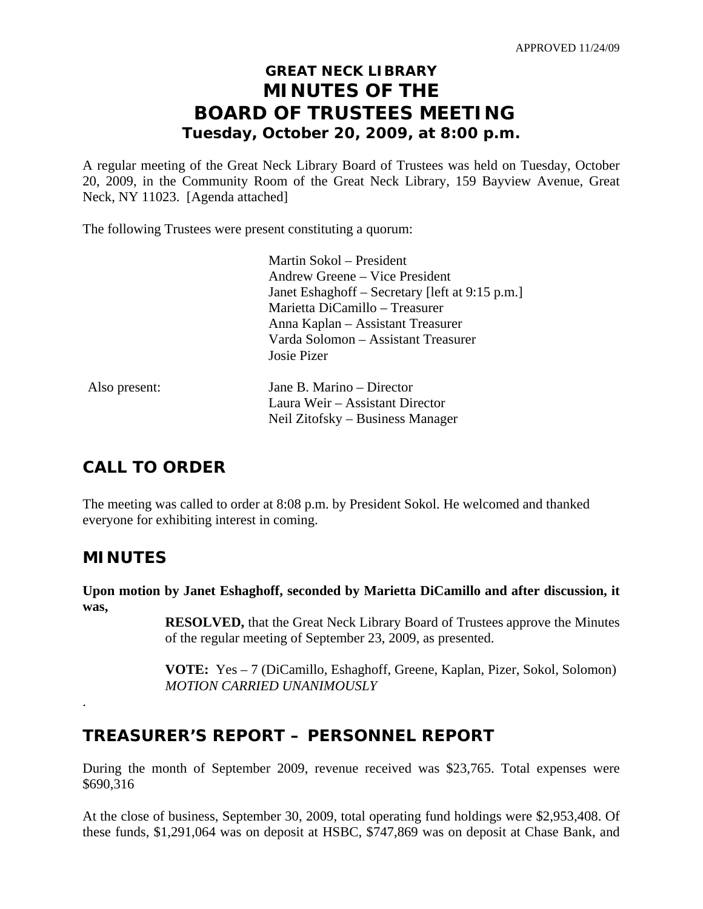# **GREAT NECK LIBRARY MINUTES OF THE BOARD OF TRUSTEES MEETING Tuesday, October 20, 2009, at 8:00 p.m.**

A regular meeting of the Great Neck Library Board of Trustees was held on Tuesday, October 20, 2009, in the Community Room of the Great Neck Library, 159 Bayview Avenue, Great Neck, NY 11023. [Agenda attached]

The following Trustees were present constituting a quorum:

|               | Martin Sokol – President                        |
|---------------|-------------------------------------------------|
|               | Andrew Greene – Vice President                  |
|               | Janet Eshaghoff – Secretary [left at 9:15 p.m.] |
|               | Marietta DiCamillo - Treasurer                  |
|               | Anna Kaplan – Assistant Treasurer               |
|               | Varda Solomon – Assistant Treasurer             |
|               | Josie Pizer                                     |
| Also present: | Jane B. Marino – Director                       |
|               | Laura Weir – Assistant Director                 |
|               | Neil Zitofsky – Business Manager                |

# **CALL TO ORDER**

The meeting was called to order at 8:08 p.m. by President Sokol. He welcomed and thanked everyone for exhibiting interest in coming.

# **MINUTES**

.

**Upon motion by Janet Eshaghoff, seconded by Marietta DiCamillo and after discussion, it was,** 

> **RESOLVED,** that the Great Neck Library Board of Trustees approve the Minutes of the regular meeting of September 23, 2009, as presented.

> **VOTE:** Yes – 7 (DiCamillo, Eshaghoff, Greene, Kaplan, Pizer, Sokol, Solomon)  *MOTION CARRIED UNANIMOUSLY*

# **TREASURER'S REPORT – PERSONNEL REPORT**

During the month of September 2009, revenue received was \$23,765. Total expenses were \$690,316

At the close of business, September 30, 2009, total operating fund holdings were \$2,953,408. Of these funds, \$1,291,064 was on deposit at HSBC, \$747,869 was on deposit at Chase Bank, and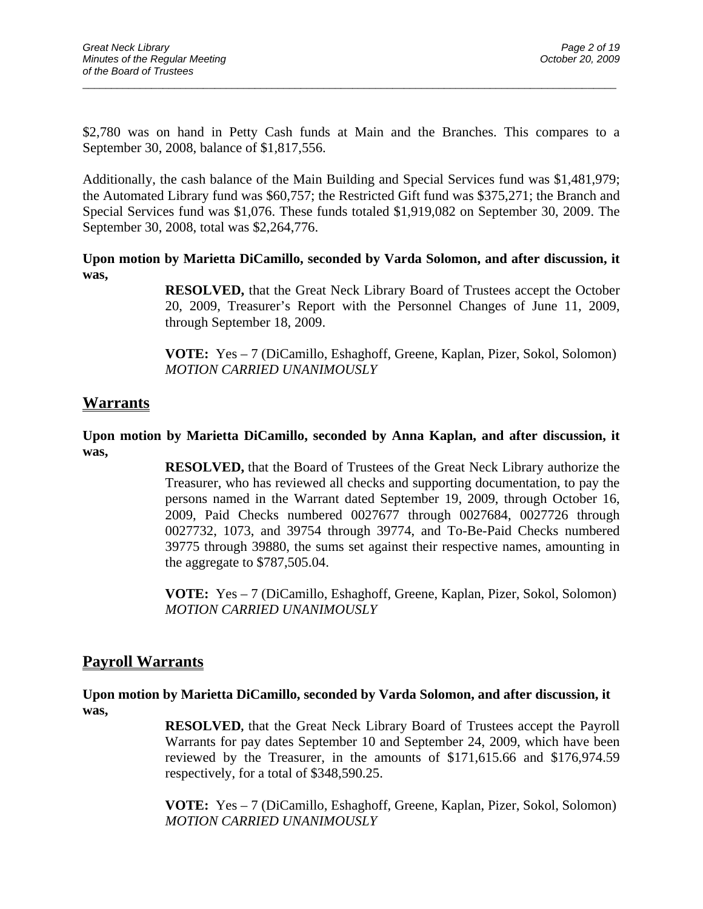\$2,780 was on hand in Petty Cash funds at Main and the Branches. This compares to a September 30, 2008, balance of \$1,817,556.

 $\overline{a}$  , and the contribution of the contribution of the contribution of the contribution of the contribution of  $\overline{a}$ 

Additionally, the cash balance of the Main Building and Special Services fund was \$1,481,979; the Automated Library fund was \$60,757; the Restricted Gift fund was \$375,271; the Branch and Special Services fund was \$1,076. These funds totaled \$1,919,082 on September 30, 2009. The September 30, 2008, total was \$2,264,776.

**Upon motion by Marietta DiCamillo, seconded by Varda Solomon, and after discussion, it was,** 

> **RESOLVED,** that the Great Neck Library Board of Trustees accept the October 20, 2009, Treasurer's Report with the Personnel Changes of June 11, 2009, through September 18, 2009.

> **VOTE:** Yes – 7 (DiCamillo, Eshaghoff, Greene, Kaplan, Pizer, Sokol, Solomon)  *MOTION CARRIED UNANIMOUSLY*

## **Warrants**

### **Upon motion by Marietta DiCamillo, seconded by Anna Kaplan, and after discussion, it was,**

**RESOLVED,** that the Board of Trustees of the Great Neck Library authorize the Treasurer, who has reviewed all checks and supporting documentation, to pay the persons named in the Warrant dated September 19, 2009, through October 16, 2009, Paid Checks numbered 0027677 through 0027684, 0027726 through 0027732, 1073, and 39754 through 39774, and To-Be-Paid Checks numbered 39775 through 39880, the sums set against their respective names, amounting in the aggregate to \$787,505.04.

**VOTE:** Yes – 7 (DiCamillo, Eshaghoff, Greene, Kaplan, Pizer, Sokol, Solomon) *MOTION CARRIED UNANIMOUSLY* 

## **Payroll Warrants**

**Upon motion by Marietta DiCamillo, seconded by Varda Solomon, and after discussion, it was,** 

> **RESOLVED,** that the Great Neck Library Board of Trustees accept the Payroll Warrants for pay dates September 10 and September 24, 2009, which have been reviewed by the Treasurer, in the amounts of \$171,615.66 and \$176,974.59 respectively, for a total of \$348,590.25.

> **VOTE:** Yes – 7 (DiCamillo, Eshaghoff, Greene, Kaplan, Pizer, Sokol, Solomon) *MOTION CARRIED UNANIMOUSLY*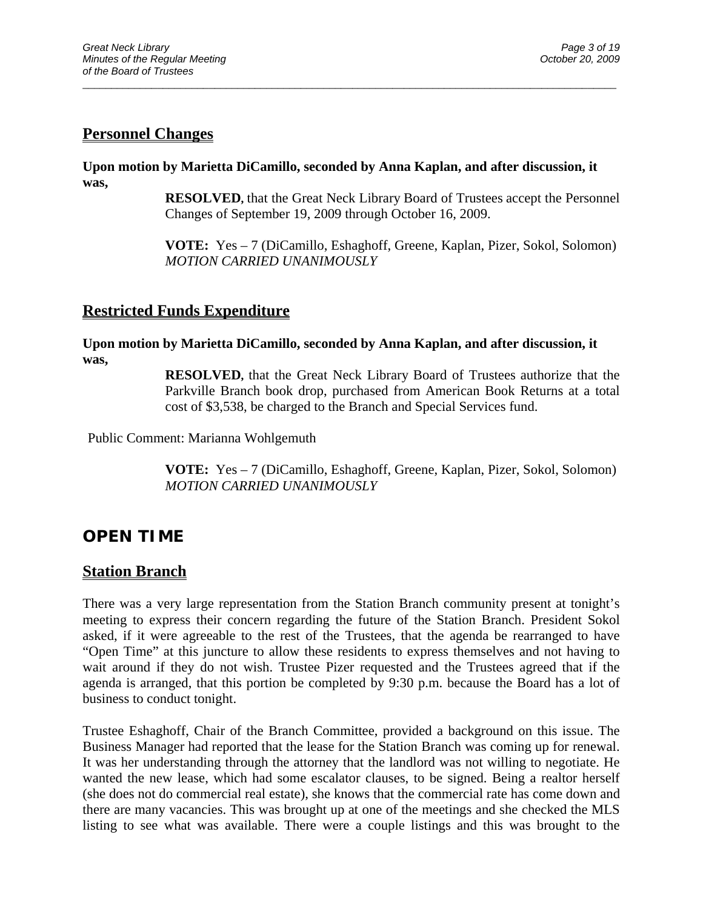# **Personnel Changes**

**Upon motion by Marietta DiCamillo, seconded by Anna Kaplan, and after discussion, it was,** 

 $\overline{a}$  , and the contribution of the contribution of the contribution of the contribution of the contribution of  $\overline{a}$ 

**RESOLVED,** that the Great Neck Library Board of Trustees accept the Personnel Changes of September 19, 2009 through October 16, 2009.

**VOTE:** Yes – 7 (DiCamillo, Eshaghoff, Greene, Kaplan, Pizer, Sokol, Solomon) *MOTION CARRIED UNANIMOUSLY* 

## **Restricted Funds Expenditure**

**Upon motion by Marietta DiCamillo, seconded by Anna Kaplan, and after discussion, it was,** 

> **RESOLVED,** that the Great Neck Library Board of Trustees authorize that the Parkville Branch book drop, purchased from American Book Returns at a total cost of \$3,538, be charged to the Branch and Special Services fund.

Public Comment: Marianna Wohlgemuth

**VOTE:** Yes – 7 (DiCamillo, Eshaghoff, Greene, Kaplan, Pizer, Sokol, Solomon) *MOTION CARRIED UNANIMOUSLY* 

# **OPEN TIME**

## **Station Branch**

There was a very large representation from the Station Branch community present at tonight's meeting to express their concern regarding the future of the Station Branch. President Sokol asked, if it were agreeable to the rest of the Trustees, that the agenda be rearranged to have "Open Time" at this juncture to allow these residents to express themselves and not having to wait around if they do not wish. Trustee Pizer requested and the Trustees agreed that if the agenda is arranged, that this portion be completed by 9:30 p.m. because the Board has a lot of business to conduct tonight.

Trustee Eshaghoff, Chair of the Branch Committee, provided a background on this issue. The Business Manager had reported that the lease for the Station Branch was coming up for renewal. It was her understanding through the attorney that the landlord was not willing to negotiate. He wanted the new lease, which had some escalator clauses, to be signed. Being a realtor herself (she does not do commercial real estate), she knows that the commercial rate has come down and there are many vacancies. This was brought up at one of the meetings and she checked the MLS listing to see what was available. There were a couple listings and this was brought to the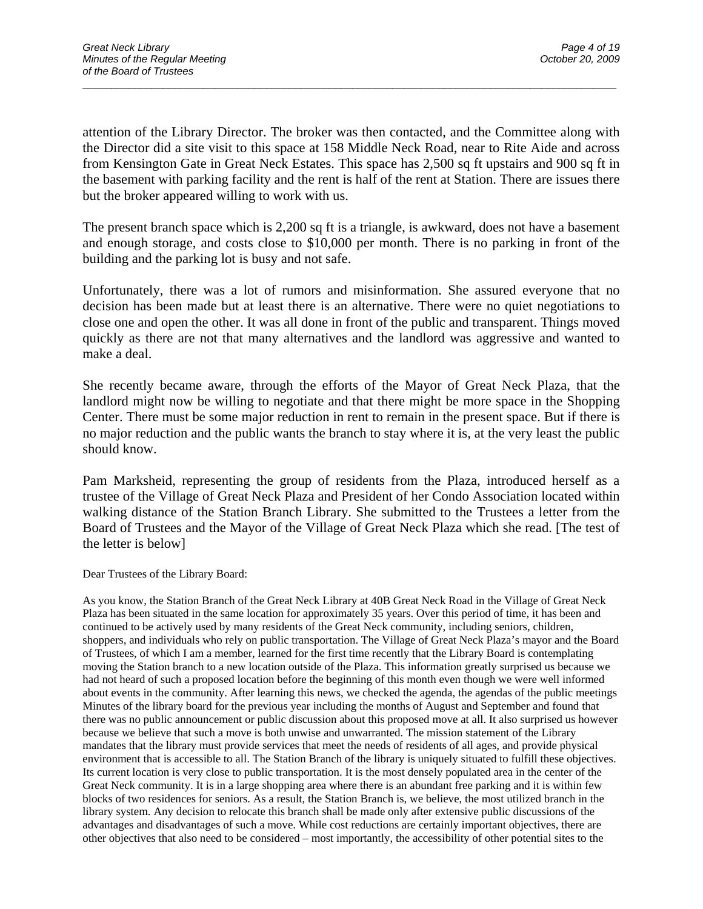attention of the Library Director. The broker was then contacted, and the Committee along with the Director did a site visit to this space at 158 Middle Neck Road, near to Rite Aide and across from Kensington Gate in Great Neck Estates. This space has 2,500 sq ft upstairs and 900 sq ft in the basement with parking facility and the rent is half of the rent at Station. There are issues there but the broker appeared willing to work with us.

 $\overline{a}$  , and the contribution of the contribution of the contribution of the contribution of the contribution of  $\overline{a}$ 

The present branch space which is 2,200 sq ft is a triangle, is awkward, does not have a basement and enough storage, and costs close to \$10,000 per month. There is no parking in front of the building and the parking lot is busy and not safe.

Unfortunately, there was a lot of rumors and misinformation. She assured everyone that no decision has been made but at least there is an alternative. There were no quiet negotiations to close one and open the other. It was all done in front of the public and transparent. Things moved quickly as there are not that many alternatives and the landlord was aggressive and wanted to make a deal.

She recently became aware, through the efforts of the Mayor of Great Neck Plaza, that the landlord might now be willing to negotiate and that there might be more space in the Shopping Center. There must be some major reduction in rent to remain in the present space. But if there is no major reduction and the public wants the branch to stay where it is, at the very least the public should know.

Pam Marksheid, representing the group of residents from the Plaza, introduced herself as a trustee of the Village of Great Neck Plaza and President of her Condo Association located within walking distance of the Station Branch Library. She submitted to the Trustees a letter from the Board of Trustees and the Mayor of the Village of Great Neck Plaza which she read. [The test of the letter is below]

Dear Trustees of the Library Board:

As you know, the Station Branch of the Great Neck Library at 40B Great Neck Road in the Village of Great Neck Plaza has been situated in the same location for approximately 35 years. Over this period of time, it has been and continued to be actively used by many residents of the Great Neck community, including seniors, children, shoppers, and individuals who rely on public transportation. The Village of Great Neck Plaza's mayor and the Board of Trustees, of which I am a member, learned for the first time recently that the Library Board is contemplating moving the Station branch to a new location outside of the Plaza. This information greatly surprised us because we had not heard of such a proposed location before the beginning of this month even though we were well informed about events in the community. After learning this news, we checked the agenda, the agendas of the public meetings Minutes of the library board for the previous year including the months of August and September and found that there was no public announcement or public discussion about this proposed move at all. It also surprised us however because we believe that such a move is both unwise and unwarranted. The mission statement of the Library mandates that the library must provide services that meet the needs of residents of all ages, and provide physical environment that is accessible to all. The Station Branch of the library is uniquely situated to fulfill these objectives. Its current location is very close to public transportation. It is the most densely populated area in the center of the Great Neck community. It is in a large shopping area where there is an abundant free parking and it is within few blocks of two residences for seniors. As a result, the Station Branch is, we believe, the most utilized branch in the library system. Any decision to relocate this branch shall be made only after extensive public discussions of the advantages and disadvantages of such a move. While cost reductions are certainly important objectives, there are other objectives that also need to be considered – most importantly, the accessibility of other potential sites to the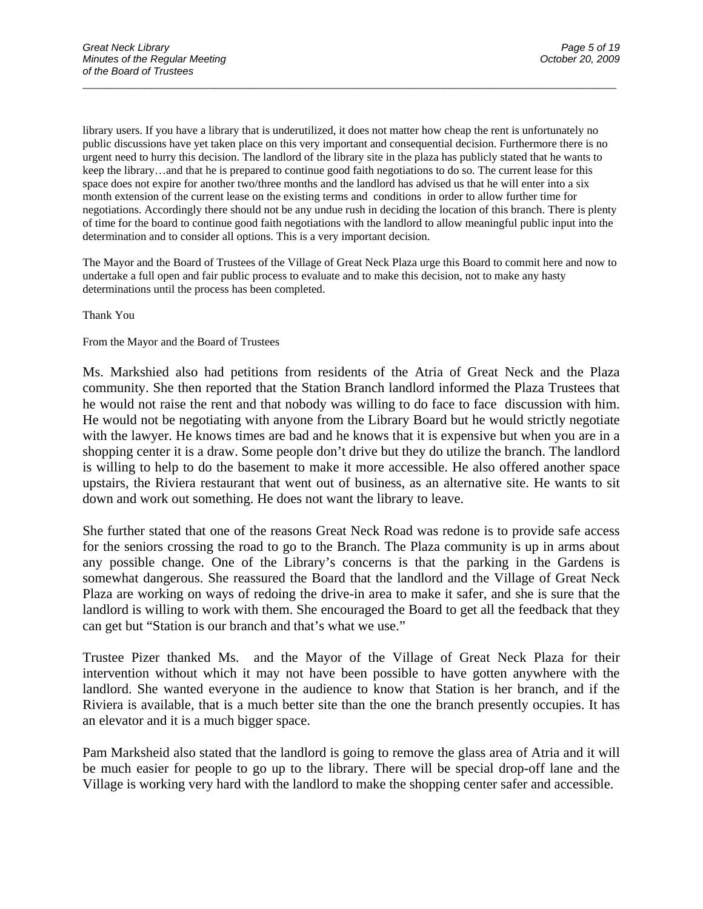library users. If you have a library that is underutilized, it does not matter how cheap the rent is unfortunately no public discussions have yet taken place on this very important and consequential decision. Furthermore there is no urgent need to hurry this decision. The landlord of the library site in the plaza has publicly stated that he wants to keep the library…and that he is prepared to continue good faith negotiations to do so. The current lease for this space does not expire for another two/three months and the landlord has advised us that he will enter into a six month extension of the current lease on the existing terms and conditions in order to allow further time for negotiations. Accordingly there should not be any undue rush in deciding the location of this branch. There is plenty of time for the board to continue good faith negotiations with the landlord to allow meaningful public input into the determination and to consider all options. This is a very important decision.

 $\overline{a}$  , and the contribution of the contribution of the contribution of the contribution of the contribution of  $\overline{a}$ 

The Mayor and the Board of Trustees of the Village of Great Neck Plaza urge this Board to commit here and now to undertake a full open and fair public process to evaluate and to make this decision, not to make any hasty determinations until the process has been completed.

Thank You

#### From the Mayor and the Board of Trustees

Ms. Markshied also had petitions from residents of the Atria of Great Neck and the Plaza community. She then reported that the Station Branch landlord informed the Plaza Trustees that he would not raise the rent and that nobody was willing to do face to face discussion with him. He would not be negotiating with anyone from the Library Board but he would strictly negotiate with the lawyer. He knows times are bad and he knows that it is expensive but when you are in a shopping center it is a draw. Some people don't drive but they do utilize the branch. The landlord is willing to help to do the basement to make it more accessible. He also offered another space upstairs, the Riviera restaurant that went out of business, as an alternative site. He wants to sit down and work out something. He does not want the library to leave.

She further stated that one of the reasons Great Neck Road was redone is to provide safe access for the seniors crossing the road to go to the Branch. The Plaza community is up in arms about any possible change. One of the Library's concerns is that the parking in the Gardens is somewhat dangerous. She reassured the Board that the landlord and the Village of Great Neck Plaza are working on ways of redoing the drive-in area to make it safer, and she is sure that the landlord is willing to work with them. She encouraged the Board to get all the feedback that they can get but "Station is our branch and that's what we use."

Trustee Pizer thanked Ms. and the Mayor of the Village of Great Neck Plaza for their intervention without which it may not have been possible to have gotten anywhere with the landlord. She wanted everyone in the audience to know that Station is her branch, and if the Riviera is available, that is a much better site than the one the branch presently occupies. It has an elevator and it is a much bigger space.

Pam Marksheid also stated that the landlord is going to remove the glass area of Atria and it will be much easier for people to go up to the library. There will be special drop-off lane and the Village is working very hard with the landlord to make the shopping center safer and accessible.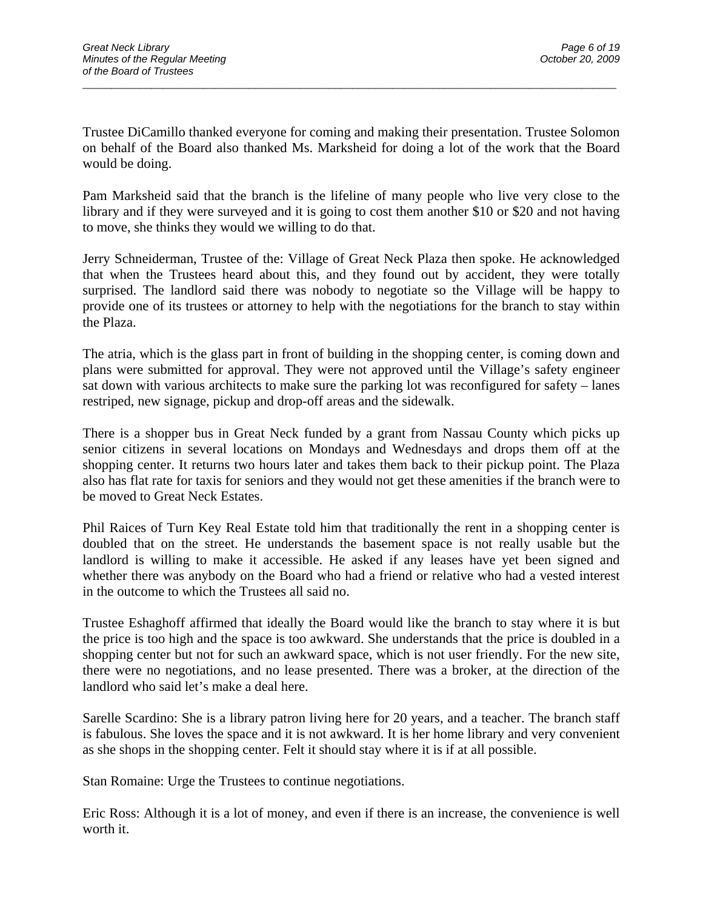Trustee DiCamillo thanked everyone for coming and making their presentation. Trustee Solomon on behalf of the Board also thanked Ms. Marksheid for doing a lot of the work that the Board would be doing.

 $\overline{a}$  , and the contribution of the contribution of the contribution of the contribution of the contribution of  $\overline{a}$ 

Pam Marksheid said that the branch is the lifeline of many people who live very close to the library and if they were surveyed and it is going to cost them another \$10 or \$20 and not having to move, she thinks they would we willing to do that.

Jerry Schneiderman, Trustee of the: Village of Great Neck Plaza then spoke. He acknowledged that when the Trustees heard about this, and they found out by accident, they were totally surprised. The landlord said there was nobody to negotiate so the Village will be happy to provide one of its trustees or attorney to help with the negotiations for the branch to stay within the Plaza.

The atria, which is the glass part in front of building in the shopping center, is coming down and plans were submitted for approval. They were not approved until the Village's safety engineer sat down with various architects to make sure the parking lot was reconfigured for safety – lanes restriped, new signage, pickup and drop-off areas and the sidewalk.

There is a shopper bus in Great Neck funded by a grant from Nassau County which picks up senior citizens in several locations on Mondays and Wednesdays and drops them off at the shopping center. It returns two hours later and takes them back to their pickup point. The Plaza also has flat rate for taxis for seniors and they would not get these amenities if the branch were to be moved to Great Neck Estates.

Phil Raices of Turn Key Real Estate told him that traditionally the rent in a shopping center is doubled that on the street. He understands the basement space is not really usable but the landlord is willing to make it accessible. He asked if any leases have yet been signed and whether there was anybody on the Board who had a friend or relative who had a vested interest in the outcome to which the Trustees all said no.

Trustee Eshaghoff affirmed that ideally the Board would like the branch to stay where it is but the price is too high and the space is too awkward. She understands that the price is doubled in a shopping center but not for such an awkward space, which is not user friendly. For the new site, there were no negotiations, and no lease presented. There was a broker, at the direction of the landlord who said let's make a deal here.

Sarelle Scardino: She is a library patron living here for 20 years, and a teacher. The branch staff is fabulous. She loves the space and it is not awkward. It is her home library and very convenient as she shops in the shopping center. Felt it should stay where it is if at all possible.

Stan Romaine: Urge the Trustees to continue negotiations.

Eric Ross: Although it is a lot of money, and even if there is an increase, the convenience is well worth it.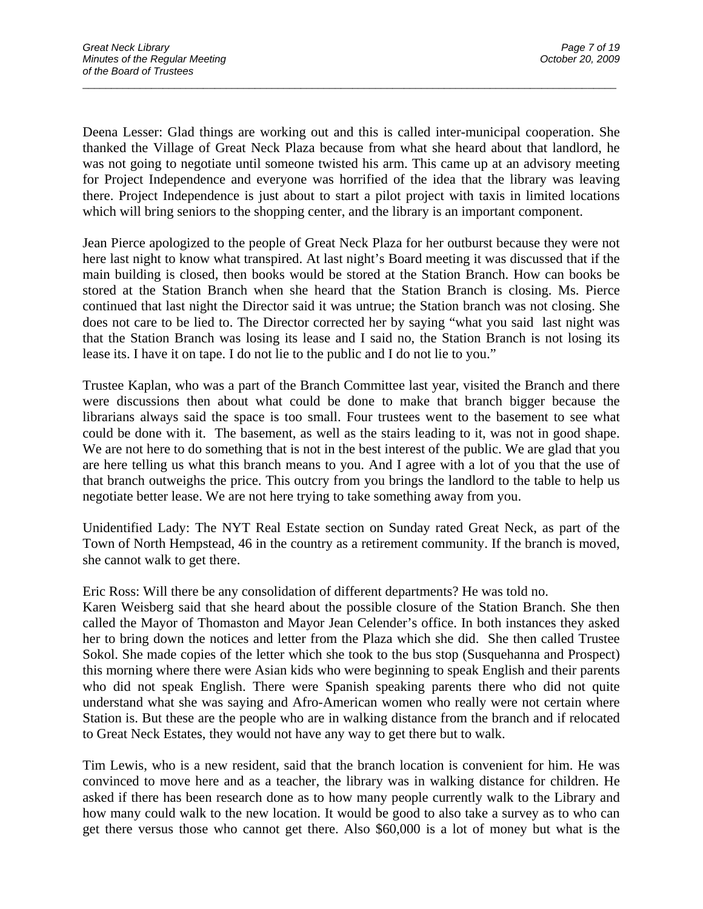Deena Lesser: Glad things are working out and this is called inter-municipal cooperation. She thanked the Village of Great Neck Plaza because from what she heard about that landlord, he was not going to negotiate until someone twisted his arm. This came up at an advisory meeting for Project Independence and everyone was horrified of the idea that the library was leaving there. Project Independence is just about to start a pilot project with taxis in limited locations which will bring seniors to the shopping center, and the library is an important component.

 $\overline{a}$  , and the contribution of the contribution of the contribution of the contribution of the contribution of  $\overline{a}$ 

Jean Pierce apologized to the people of Great Neck Plaza for her outburst because they were not here last night to know what transpired. At last night's Board meeting it was discussed that if the main building is closed, then books would be stored at the Station Branch. How can books be stored at the Station Branch when she heard that the Station Branch is closing. Ms. Pierce continued that last night the Director said it was untrue; the Station branch was not closing. She does not care to be lied to. The Director corrected her by saying "what you said last night was that the Station Branch was losing its lease and I said no, the Station Branch is not losing its lease its. I have it on tape. I do not lie to the public and I do not lie to you."

Trustee Kaplan, who was a part of the Branch Committee last year, visited the Branch and there were discussions then about what could be done to make that branch bigger because the librarians always said the space is too small. Four trustees went to the basement to see what could be done with it. The basement, as well as the stairs leading to it, was not in good shape. We are not here to do something that is not in the best interest of the public. We are glad that you are here telling us what this branch means to you. And I agree with a lot of you that the use of that branch outweighs the price. This outcry from you brings the landlord to the table to help us negotiate better lease. We are not here trying to take something away from you.

Unidentified Lady: The NYT Real Estate section on Sunday rated Great Neck, as part of the Town of North Hempstead, 46 in the country as a retirement community. If the branch is moved, she cannot walk to get there.

Eric Ross: Will there be any consolidation of different departments? He was told no.

Karen Weisberg said that she heard about the possible closure of the Station Branch. She then called the Mayor of Thomaston and Mayor Jean Celender's office. In both instances they asked her to bring down the notices and letter from the Plaza which she did. She then called Trustee Sokol. She made copies of the letter which she took to the bus stop (Susquehanna and Prospect) this morning where there were Asian kids who were beginning to speak English and their parents who did not speak English. There were Spanish speaking parents there who did not quite understand what she was saying and Afro-American women who really were not certain where Station is. But these are the people who are in walking distance from the branch and if relocated to Great Neck Estates, they would not have any way to get there but to walk.

Tim Lewis, who is a new resident, said that the branch location is convenient for him. He was convinced to move here and as a teacher, the library was in walking distance for children. He asked if there has been research done as to how many people currently walk to the Library and how many could walk to the new location. It would be good to also take a survey as to who can get there versus those who cannot get there. Also \$60,000 is a lot of money but what is the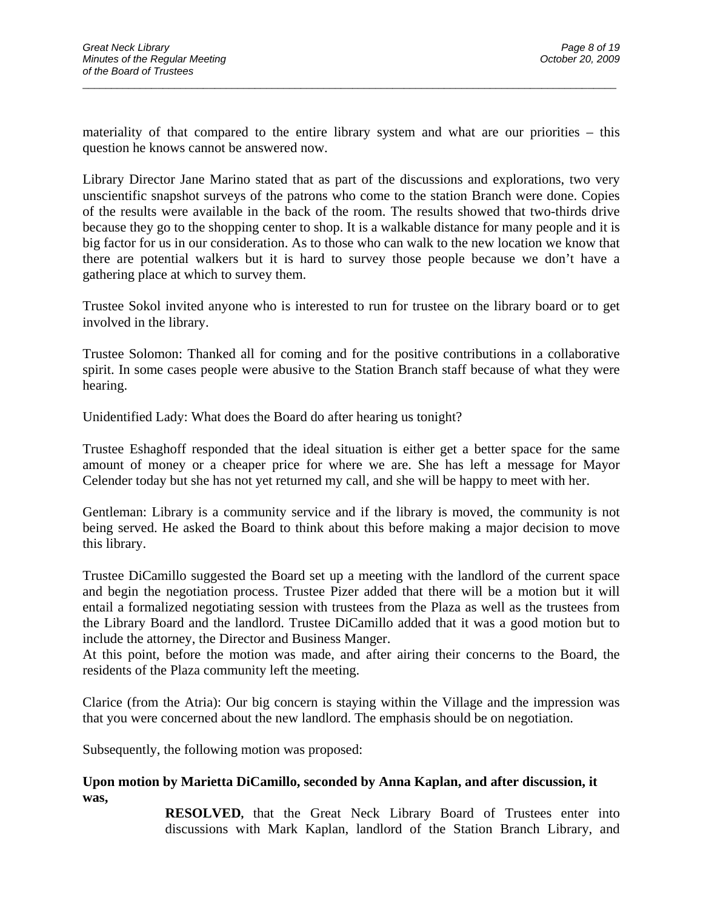materiality of that compared to the entire library system and what are our priorities – this question he knows cannot be answered now.

 $\overline{a}$  , and the contribution of the contribution of the contribution of the contribution of the contribution of  $\overline{a}$ 

Library Director Jane Marino stated that as part of the discussions and explorations, two very unscientific snapshot surveys of the patrons who come to the station Branch were done. Copies of the results were available in the back of the room. The results showed that two-thirds drive because they go to the shopping center to shop. It is a walkable distance for many people and it is big factor for us in our consideration. As to those who can walk to the new location we know that there are potential walkers but it is hard to survey those people because we don't have a gathering place at which to survey them.

Trustee Sokol invited anyone who is interested to run for trustee on the library board or to get involved in the library.

Trustee Solomon: Thanked all for coming and for the positive contributions in a collaborative spirit. In some cases people were abusive to the Station Branch staff because of what they were hearing.

Unidentified Lady: What does the Board do after hearing us tonight?

Trustee Eshaghoff responded that the ideal situation is either get a better space for the same amount of money or a cheaper price for where we are. She has left a message for Mayor Celender today but she has not yet returned my call, and she will be happy to meet with her.

Gentleman: Library is a community service and if the library is moved, the community is not being served. He asked the Board to think about this before making a major decision to move this library.

Trustee DiCamillo suggested the Board set up a meeting with the landlord of the current space and begin the negotiation process. Trustee Pizer added that there will be a motion but it will entail a formalized negotiating session with trustees from the Plaza as well as the trustees from the Library Board and the landlord. Trustee DiCamillo added that it was a good motion but to include the attorney, the Director and Business Manger.

At this point, before the motion was made, and after airing their concerns to the Board, the residents of the Plaza community left the meeting.

Clarice (from the Atria): Our big concern is staying within the Village and the impression was that you were concerned about the new landlord. The emphasis should be on negotiation.

Subsequently, the following motion was proposed:

#### **Upon motion by Marietta DiCamillo, seconded by Anna Kaplan, and after discussion, it was,**

**RESOLVED,** that the Great Neck Library Board of Trustees enter into discussions with Mark Kaplan, landlord of the Station Branch Library, and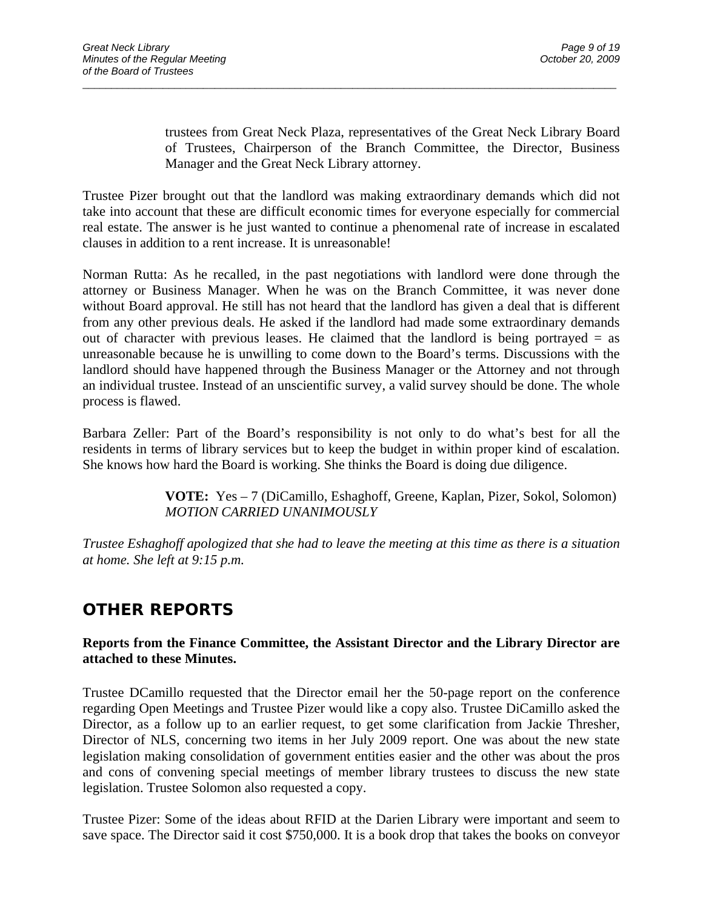trustees from Great Neck Plaza, representatives of the Great Neck Library Board of Trustees, Chairperson of the Branch Committee, the Director, Business Manager and the Great Neck Library attorney.

Trustee Pizer brought out that the landlord was making extraordinary demands which did not take into account that these are difficult economic times for everyone especially for commercial real estate. The answer is he just wanted to continue a phenomenal rate of increase in escalated clauses in addition to a rent increase. It is unreasonable!

 $\overline{a}$  , and the contribution of the contribution of the contribution of the contribution of the contribution of  $\overline{a}$ 

Norman Rutta: As he recalled, in the past negotiations with landlord were done through the attorney or Business Manager. When he was on the Branch Committee, it was never done without Board approval. He still has not heard that the landlord has given a deal that is different from any other previous deals. He asked if the landlord had made some extraordinary demands out of character with previous leases. He claimed that the landlord is being portrayed  $=$  as unreasonable because he is unwilling to come down to the Board's terms. Discussions with the landlord should have happened through the Business Manager or the Attorney and not through an individual trustee. Instead of an unscientific survey, a valid survey should be done. The whole process is flawed.

Barbara Zeller: Part of the Board's responsibility is not only to do what's best for all the residents in terms of library services but to keep the budget in within proper kind of escalation. She knows how hard the Board is working. She thinks the Board is doing due diligence.

> **VOTE:** Yes – 7 (DiCamillo, Eshaghoff, Greene, Kaplan, Pizer, Sokol, Solomon)  *MOTION CARRIED UNANIMOUSLY*

*Trustee Eshaghoff apologized that she had to leave the meeting at this time as there is a situation at home. She left at 9:15 p.m.* 

# **OTHER REPORTS**

### **Reports from the Finance Committee, the Assistant Director and the Library Director are attached to these Minutes.**

Trustee DCamillo requested that the Director email her the 50-page report on the conference regarding Open Meetings and Trustee Pizer would like a copy also. Trustee DiCamillo asked the Director, as a follow up to an earlier request, to get some clarification from Jackie Thresher, Director of NLS, concerning two items in her July 2009 report. One was about the new state legislation making consolidation of government entities easier and the other was about the pros and cons of convening special meetings of member library trustees to discuss the new state legislation. Trustee Solomon also requested a copy.

Trustee Pizer: Some of the ideas about RFID at the Darien Library were important and seem to save space. The Director said it cost \$750,000. It is a book drop that takes the books on conveyor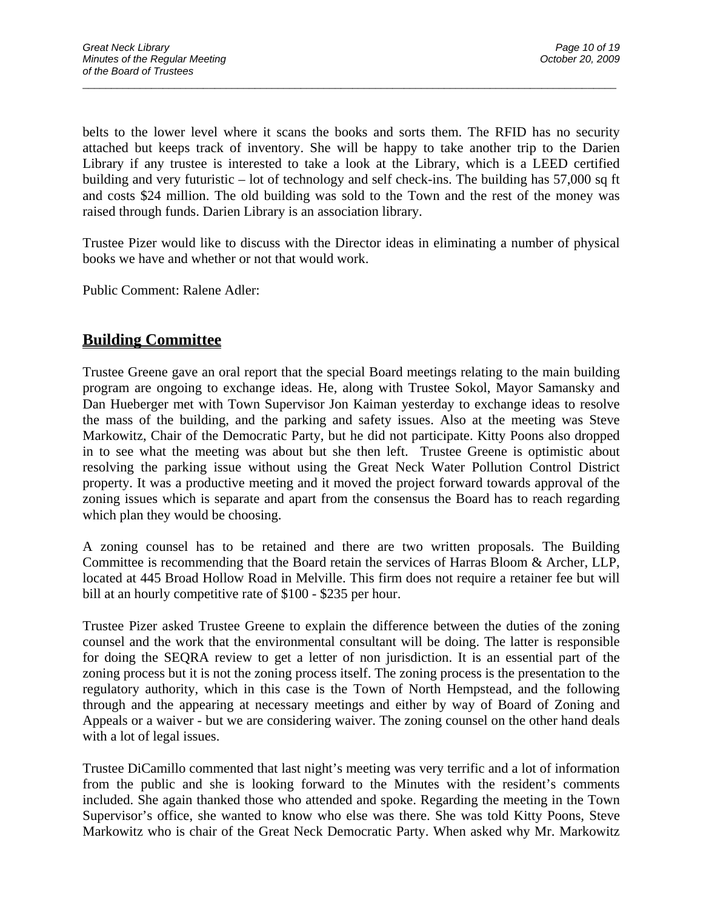belts to the lower level where it scans the books and sorts them. The RFID has no security attached but keeps track of inventory. She will be happy to take another trip to the Darien Library if any trustee is interested to take a look at the Library, which is a LEED certified building and very futuristic – lot of technology and self check-ins. The building has 57,000 sq ft and costs \$24 million. The old building was sold to the Town and the rest of the money was raised through funds. Darien Library is an association library.

 $\overline{a}$  , and the contribution of the contribution of the contribution of the contribution of the contribution of  $\overline{a}$ 

Trustee Pizer would like to discuss with the Director ideas in eliminating a number of physical books we have and whether or not that would work.

Public Comment: Ralene Adler:

## **Building Committee**

Trustee Greene gave an oral report that the special Board meetings relating to the main building program are ongoing to exchange ideas. He, along with Trustee Sokol, Mayor Samansky and Dan Hueberger met with Town Supervisor Jon Kaiman yesterday to exchange ideas to resolve the mass of the building, and the parking and safety issues. Also at the meeting was Steve Markowitz, Chair of the Democratic Party, but he did not participate. Kitty Poons also dropped in to see what the meeting was about but she then left. Trustee Greene is optimistic about resolving the parking issue without using the Great Neck Water Pollution Control District property. It was a productive meeting and it moved the project forward towards approval of the zoning issues which is separate and apart from the consensus the Board has to reach regarding which plan they would be choosing.

A zoning counsel has to be retained and there are two written proposals. The Building Committee is recommending that the Board retain the services of Harras Bloom & Archer, LLP, located at 445 Broad Hollow Road in Melville. This firm does not require a retainer fee but will bill at an hourly competitive rate of \$100 - \$235 per hour.

Trustee Pizer asked Trustee Greene to explain the difference between the duties of the zoning counsel and the work that the environmental consultant will be doing. The latter is responsible for doing the SEQRA review to get a letter of non jurisdiction. It is an essential part of the zoning process but it is not the zoning process itself. The zoning process is the presentation to the regulatory authority, which in this case is the Town of North Hempstead, and the following through and the appearing at necessary meetings and either by way of Board of Zoning and Appeals or a waiver - but we are considering waiver. The zoning counsel on the other hand deals with a lot of legal issues.

Trustee DiCamillo commented that last night's meeting was very terrific and a lot of information from the public and she is looking forward to the Minutes with the resident's comments included. She again thanked those who attended and spoke. Regarding the meeting in the Town Supervisor's office, she wanted to know who else was there. She was told Kitty Poons, Steve Markowitz who is chair of the Great Neck Democratic Party. When asked why Mr. Markowitz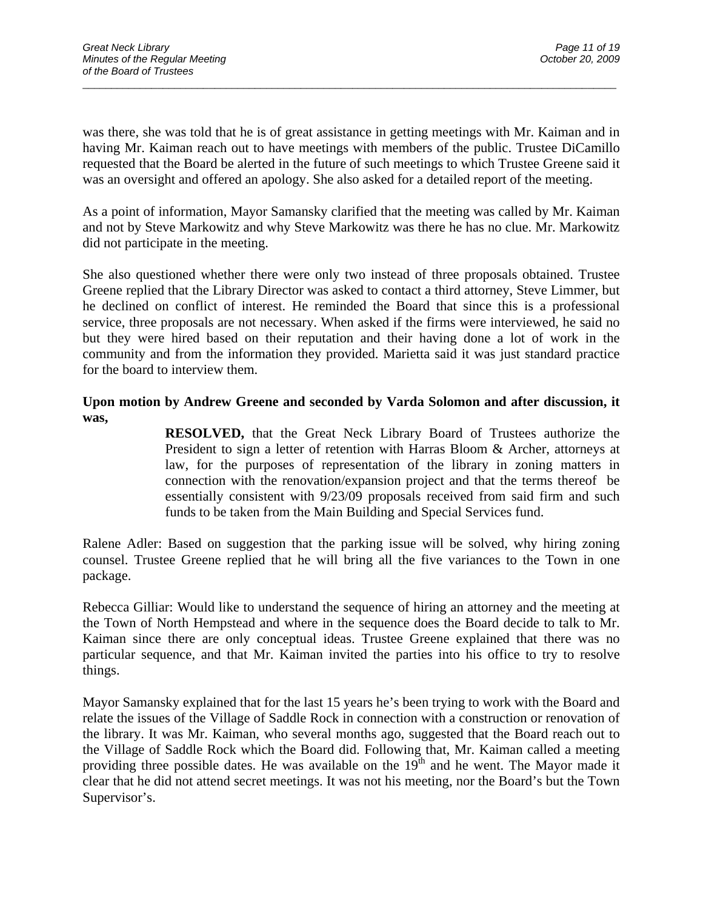was there, she was told that he is of great assistance in getting meetings with Mr. Kaiman and in having Mr. Kaiman reach out to have meetings with members of the public. Trustee DiCamillo requested that the Board be alerted in the future of such meetings to which Trustee Greene said it was an oversight and offered an apology. She also asked for a detailed report of the meeting.

 $\overline{a}$  , and the contribution of the contribution of the contribution of the contribution of the contribution of  $\overline{a}$ 

As a point of information, Mayor Samansky clarified that the meeting was called by Mr. Kaiman and not by Steve Markowitz and why Steve Markowitz was there he has no clue. Mr. Markowitz did not participate in the meeting.

She also questioned whether there were only two instead of three proposals obtained. Trustee Greene replied that the Library Director was asked to contact a third attorney, Steve Limmer, but he declined on conflict of interest. He reminded the Board that since this is a professional service, three proposals are not necessary. When asked if the firms were interviewed, he said no but they were hired based on their reputation and their having done a lot of work in the community and from the information they provided. Marietta said it was just standard practice for the board to interview them.

### **Upon motion by Andrew Greene and seconded by Varda Solomon and after discussion, it was,**

**RESOLVED,** that the Great Neck Library Board of Trustees authorize the President to sign a letter of retention with Harras Bloom & Archer, attorneys at law, for the purposes of representation of the library in zoning matters in connection with the renovation/expansion project and that the terms thereof be essentially consistent with 9/23/09 proposals received from said firm and such funds to be taken from the Main Building and Special Services fund.

Ralene Adler: Based on suggestion that the parking issue will be solved, why hiring zoning counsel. Trustee Greene replied that he will bring all the five variances to the Town in one package.

Rebecca Gilliar: Would like to understand the sequence of hiring an attorney and the meeting at the Town of North Hempstead and where in the sequence does the Board decide to talk to Mr. Kaiman since there are only conceptual ideas. Trustee Greene explained that there was no particular sequence, and that Mr. Kaiman invited the parties into his office to try to resolve things.

Mayor Samansky explained that for the last 15 years he's been trying to work with the Board and relate the issues of the Village of Saddle Rock in connection with a construction or renovation of the library. It was Mr. Kaiman, who several months ago, suggested that the Board reach out to the Village of Saddle Rock which the Board did. Following that, Mr. Kaiman called a meeting providing three possible dates. He was available on the  $19<sup>th</sup>$  and he went. The Mayor made it clear that he did not attend secret meetings. It was not his meeting, nor the Board's but the Town Supervisor's.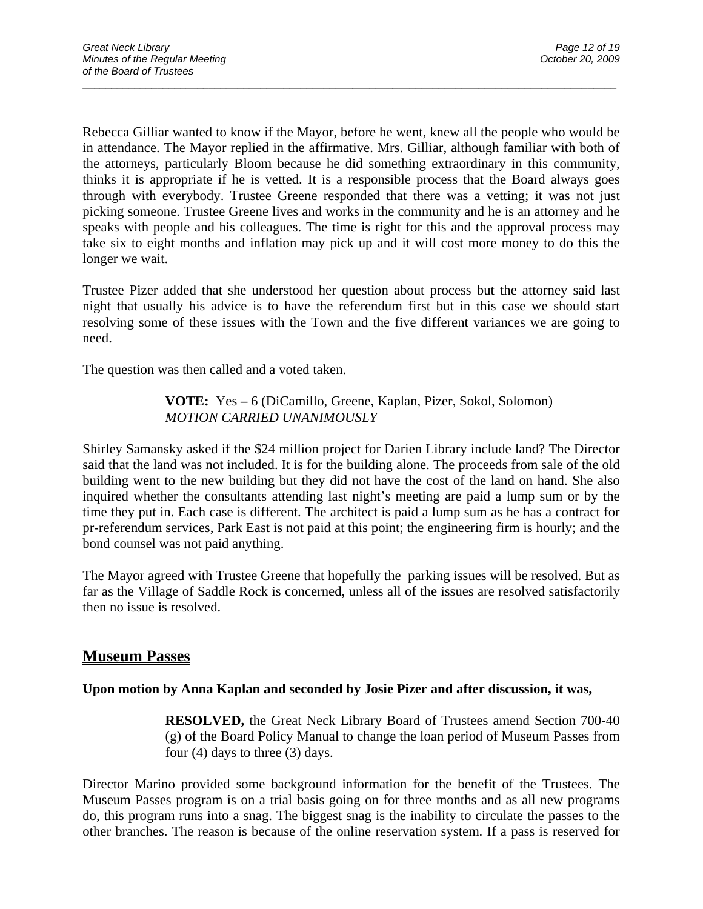Rebecca Gilliar wanted to know if the Mayor, before he went, knew all the people who would be in attendance. The Mayor replied in the affirmative. Mrs. Gilliar, although familiar with both of the attorneys, particularly Bloom because he did something extraordinary in this community, thinks it is appropriate if he is vetted. It is a responsible process that the Board always goes through with everybody. Trustee Greene responded that there was a vetting; it was not just picking someone. Trustee Greene lives and works in the community and he is an attorney and he speaks with people and his colleagues. The time is right for this and the approval process may take six to eight months and inflation may pick up and it will cost more money to do this the longer we wait.

 $\overline{a}$  , and the contribution of the contribution of the contribution of the contribution of the contribution of  $\overline{a}$ 

Trustee Pizer added that she understood her question about process but the attorney said last night that usually his advice is to have the referendum first but in this case we should start resolving some of these issues with the Town and the five different variances we are going to need.

The question was then called and a voted taken.

### **VOTE:** Yes **–** 6 (DiCamillo, Greene, Kaplan, Pizer, Sokol, Solomon) *MOTION CARRIED UNANIMOUSLY*

Shirley Samansky asked if the \$24 million project for Darien Library include land? The Director said that the land was not included. It is for the building alone. The proceeds from sale of the old building went to the new building but they did not have the cost of the land on hand. She also inquired whether the consultants attending last night's meeting are paid a lump sum or by the time they put in. Each case is different. The architect is paid a lump sum as he has a contract for pr-referendum services, Park East is not paid at this point; the engineering firm is hourly; and the bond counsel was not paid anything.

The Mayor agreed with Trustee Greene that hopefully the parking issues will be resolved. But as far as the Village of Saddle Rock is concerned, unless all of the issues are resolved satisfactorily then no issue is resolved.

## **Museum Passes**

### **Upon motion by Anna Kaplan and seconded by Josie Pizer and after discussion, it was,**

**RESOLVED,** the Great Neck Library Board of Trustees amend Section 700-40 (g) of the Board Policy Manual to change the loan period of Museum Passes from four (4) days to three (3) days.

Director Marino provided some background information for the benefit of the Trustees. The Museum Passes program is on a trial basis going on for three months and as all new programs do, this program runs into a snag. The biggest snag is the inability to circulate the passes to the other branches. The reason is because of the online reservation system. If a pass is reserved for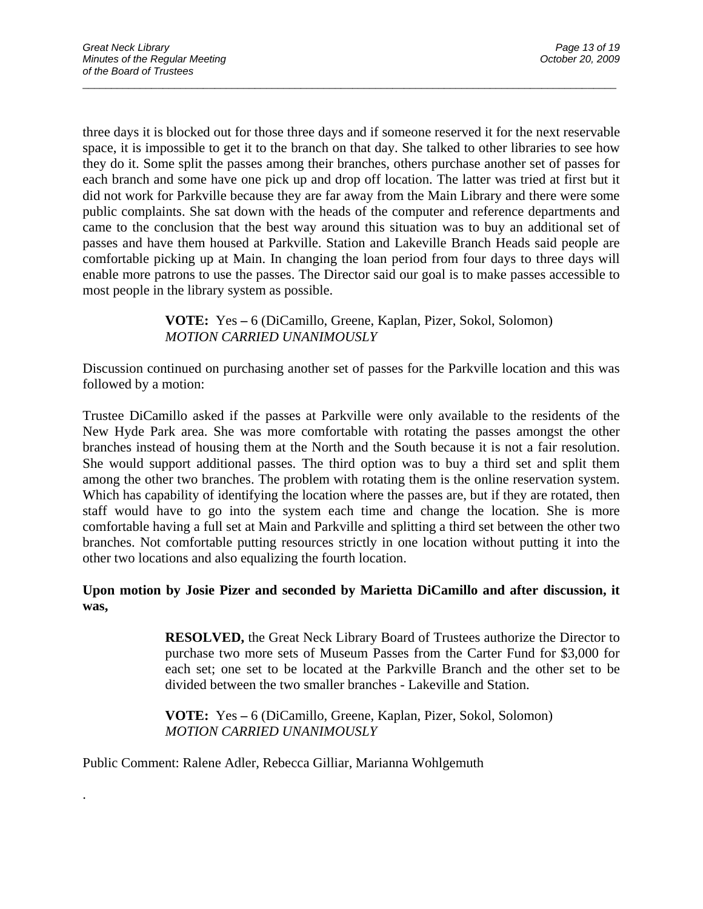three days it is blocked out for those three days and if someone reserved it for the next reservable space, it is impossible to get it to the branch on that day. She talked to other libraries to see how they do it. Some split the passes among their branches, others purchase another set of passes for each branch and some have one pick up and drop off location. The latter was tried at first but it did not work for Parkville because they are far away from the Main Library and there were some public complaints. She sat down with the heads of the computer and reference departments and came to the conclusion that the best way around this situation was to buy an additional set of passes and have them housed at Parkville. Station and Lakeville Branch Heads said people are comfortable picking up at Main. In changing the loan period from four days to three days will enable more patrons to use the passes. The Director said our goal is to make passes accessible to most people in the library system as possible.

 $\overline{a}$  , and the contribution of the contribution of the contribution of the contribution of the contribution of  $\overline{a}$ 

 **VOTE:** Yes **–** 6 (DiCamillo, Greene, Kaplan, Pizer, Sokol, Solomon)  *MOTION CARRIED UNANIMOUSLY* 

Discussion continued on purchasing another set of passes for the Parkville location and this was followed by a motion:

Trustee DiCamillo asked if the passes at Parkville were only available to the residents of the New Hyde Park area. She was more comfortable with rotating the passes amongst the other branches instead of housing them at the North and the South because it is not a fair resolution. She would support additional passes. The third option was to buy a third set and split them among the other two branches. The problem with rotating them is the online reservation system. Which has capability of identifying the location where the passes are, but if they are rotated, then staff would have to go into the system each time and change the location. She is more comfortable having a full set at Main and Parkville and splitting a third set between the other two branches. Not comfortable putting resources strictly in one location without putting it into the other two locations and also equalizing the fourth location.

### **Upon motion by Josie Pizer and seconded by Marietta DiCamillo and after discussion, it was,**

**RESOLVED,** the Great Neck Library Board of Trustees authorize the Director to purchase two more sets of Museum Passes from the Carter Fund for \$3,000 for each set; one set to be located at the Parkville Branch and the other set to be divided between the two smaller branches - Lakeville and Station.

 **VOTE:** Yes **–** 6 (DiCamillo, Greene, Kaplan, Pizer, Sokol, Solomon)  *MOTION CARRIED UNANIMOUSLY* 

Public Comment: Ralene Adler, Rebecca Gilliar, Marianna Wohlgemuth

.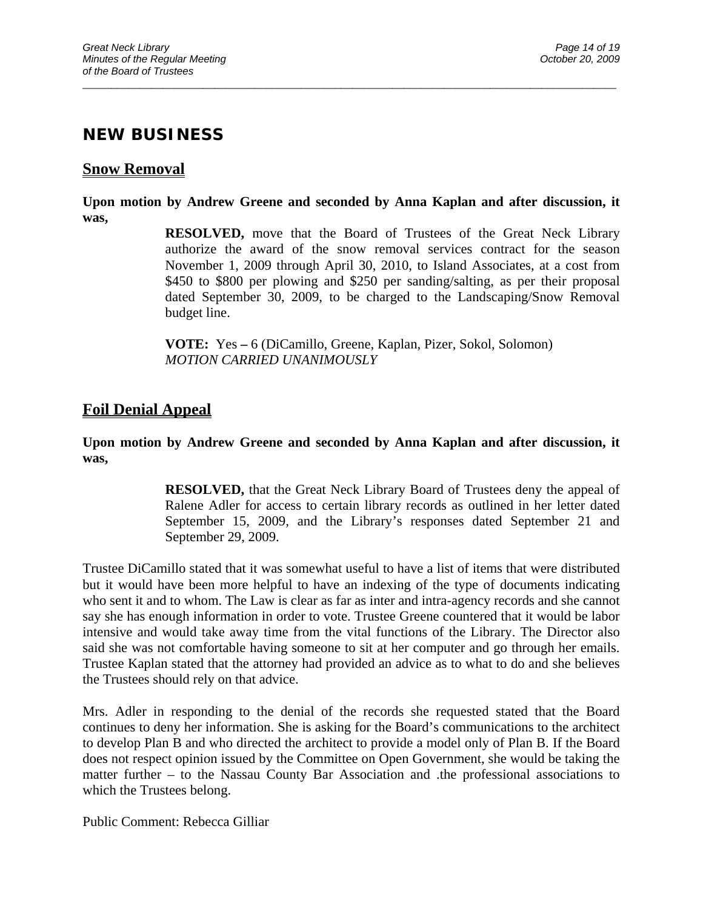## **NEW BUSINESS**

## **Snow Removal**

**Upon motion by Andrew Greene and seconded by Anna Kaplan and after discussion, it was,** 

 $\overline{a}$  , and the contribution of the contribution of the contribution of the contribution of the contribution of  $\overline{a}$ 

**RESOLVED,** move that the Board of Trustees of the Great Neck Library authorize the award of the snow removal services contract for the season November 1, 2009 through April 30, 2010, to Island Associates, at a cost from \$450 to \$800 per plowing and \$250 per sanding/salting, as per their proposal dated September 30, 2009, to be charged to the Landscaping/Snow Removal budget line.

 **VOTE:** Yes **–** 6 (DiCamillo, Greene, Kaplan, Pizer, Sokol, Solomon) *MOTION CARRIED UNANIMOUSLY* 

## **Foil Denial Appeal**

**Upon motion by Andrew Greene and seconded by Anna Kaplan and after discussion, it was,** 

> **RESOLVED,** that the Great Neck Library Board of Trustees deny the appeal of Ralene Adler for access to certain library records as outlined in her letter dated September 15, 2009, and the Library's responses dated September 21 and September 29, 2009.

Trustee DiCamillo stated that it was somewhat useful to have a list of items that were distributed but it would have been more helpful to have an indexing of the type of documents indicating who sent it and to whom. The Law is clear as far as inter and intra-agency records and she cannot say she has enough information in order to vote. Trustee Greene countered that it would be labor intensive and would take away time from the vital functions of the Library. The Director also said she was not comfortable having someone to sit at her computer and go through her emails. Trustee Kaplan stated that the attorney had provided an advice as to what to do and she believes the Trustees should rely on that advice.

Mrs. Adler in responding to the denial of the records she requested stated that the Board continues to deny her information. She is asking for the Board's communications to the architect to develop Plan B and who directed the architect to provide a model only of Plan B. If the Board does not respect opinion issued by the Committee on Open Government, she would be taking the matter further – to the Nassau County Bar Association and .the professional associations to which the Trustees belong.

Public Comment: Rebecca Gilliar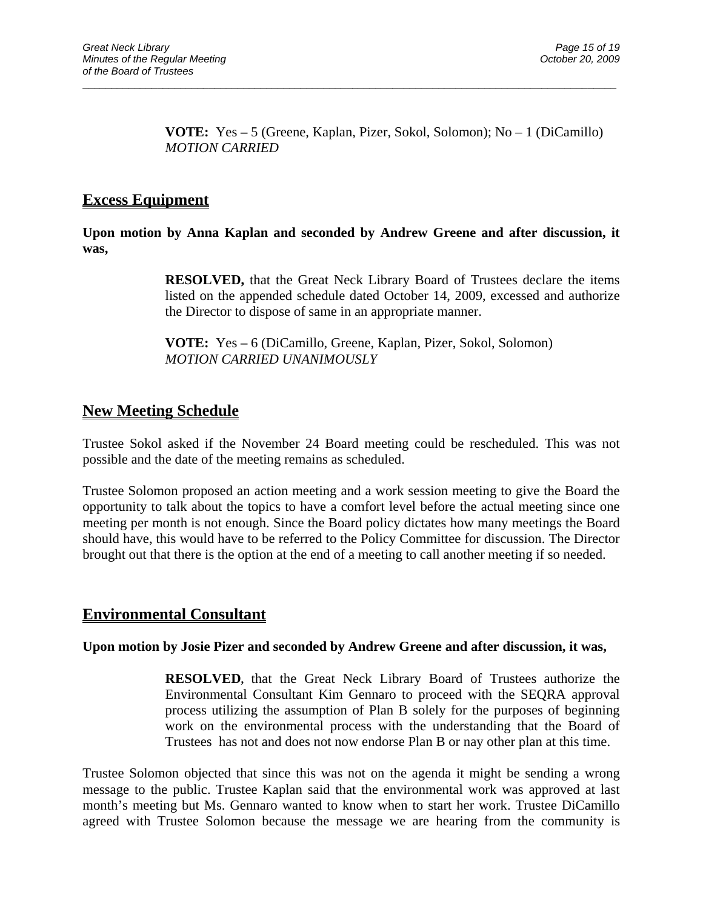**VOTE:** Yes **–** 5 (Greene, Kaplan, Pizer, Sokol, Solomon); No – 1 (DiCamillo)  *MOTION CARRIED* 

## **Excess Equipment**

**Upon motion by Anna Kaplan and seconded by Andrew Greene and after discussion, it was,** 

 $\overline{a}$  , and the contribution of the contribution of the contribution of the contribution of the contribution of  $\overline{a}$ 

**RESOLVED,** that the Great Neck Library Board of Trustees declare the items listed on the appended schedule dated October 14, 2009, excessed and authorize the Director to dispose of same in an appropriate manner.

 **VOTE:** Yes **–** 6 (DiCamillo, Greene, Kaplan, Pizer, Sokol, Solomon)  *MOTION CARRIED UNANIMOUSLY* 

## **New Meeting Schedule**

Trustee Sokol asked if the November 24 Board meeting could be rescheduled. This was not possible and the date of the meeting remains as scheduled.

Trustee Solomon proposed an action meeting and a work session meeting to give the Board the opportunity to talk about the topics to have a comfort level before the actual meeting since one meeting per month is not enough. Since the Board policy dictates how many meetings the Board should have, this would have to be referred to the Policy Committee for discussion. The Director brought out that there is the option at the end of a meeting to call another meeting if so needed.

## **Environmental Consultant**

#### **Upon motion by Josie Pizer and seconded by Andrew Greene and after discussion, it was,**

**RESOLVED,** that the Great Neck Library Board of Trustees authorize the Environmental Consultant Kim Gennaro to proceed with the SEQRA approval process utilizing the assumption of Plan B solely for the purposes of beginning work on the environmental process with the understanding that the Board of Trustees has not and does not now endorse Plan B or nay other plan at this time.

Trustee Solomon objected that since this was not on the agenda it might be sending a wrong message to the public. Trustee Kaplan said that the environmental work was approved at last month's meeting but Ms. Gennaro wanted to know when to start her work. Trustee DiCamillo agreed with Trustee Solomon because the message we are hearing from the community is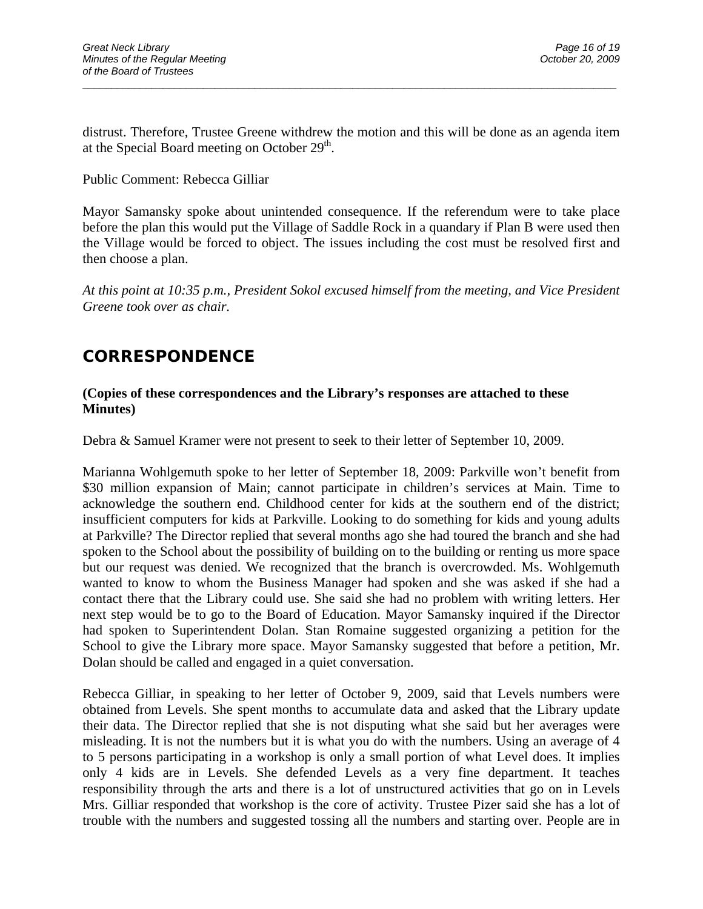distrust. Therefore, Trustee Greene withdrew the motion and this will be done as an agenda item at the Special Board meeting on October  $29<sup>th</sup>$ .

 $\overline{a}$  , and the contribution of the contribution of the contribution of the contribution of the contribution of  $\overline{a}$ 

#### Public Comment: Rebecca Gilliar

Mayor Samansky spoke about unintended consequence. If the referendum were to take place before the plan this would put the Village of Saddle Rock in a quandary if Plan B were used then the Village would be forced to object. The issues including the cost must be resolved first and then choose a plan.

*At this point at 10:35 p.m., President Sokol excused himself from the meeting, and Vice President Greene took over as chair.* 

# **CORRESPONDENCE**

#### **(Copies of these correspondences and the Library's responses are attached to these Minutes)**

Debra & Samuel Kramer were not present to seek to their letter of September 10, 2009.

Marianna Wohlgemuth spoke to her letter of September 18, 2009: Parkville won't benefit from \$30 million expansion of Main; cannot participate in children's services at Main. Time to acknowledge the southern end. Childhood center for kids at the southern end of the district; insufficient computers for kids at Parkville. Looking to do something for kids and young adults at Parkville? The Director replied that several months ago she had toured the branch and she had spoken to the School about the possibility of building on to the building or renting us more space but our request was denied. We recognized that the branch is overcrowded. Ms. Wohlgemuth wanted to know to whom the Business Manager had spoken and she was asked if she had a contact there that the Library could use. She said she had no problem with writing letters. Her next step would be to go to the Board of Education. Mayor Samansky inquired if the Director had spoken to Superintendent Dolan. Stan Romaine suggested organizing a petition for the School to give the Library more space. Mayor Samansky suggested that before a petition, Mr. Dolan should be called and engaged in a quiet conversation.

Rebecca Gilliar, in speaking to her letter of October 9, 2009, said that Levels numbers were obtained from Levels. She spent months to accumulate data and asked that the Library update their data. The Director replied that she is not disputing what she said but her averages were misleading. It is not the numbers but it is what you do with the numbers. Using an average of 4 to 5 persons participating in a workshop is only a small portion of what Level does. It implies only 4 kids are in Levels. She defended Levels as a very fine department. It teaches responsibility through the arts and there is a lot of unstructured activities that go on in Levels Mrs. Gilliar responded that workshop is the core of activity. Trustee Pizer said she has a lot of trouble with the numbers and suggested tossing all the numbers and starting over. People are in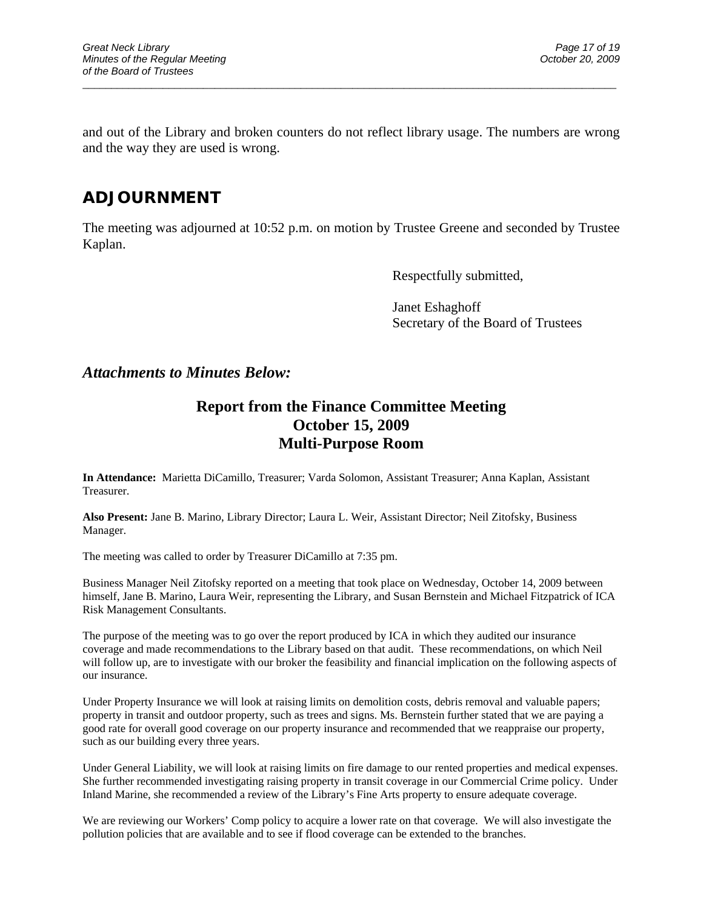and out of the Library and broken counters do not reflect library usage. The numbers are wrong and the way they are used is wrong.

 $\overline{a}$  , and the contribution of the contribution of the contribution of the contribution of the contribution of  $\overline{a}$ 

# **ADJOURNMENT**

The meeting was adjourned at 10:52 p.m. on motion by Trustee Greene and seconded by Trustee Kaplan.

Respectfully submitted,

Janet Eshaghoff Secretary of the Board of Trustees

### *Attachments to Minutes Below:*

## **Report from the Finance Committee Meeting October 15, 2009 Multi-Purpose Room**

**In Attendance:** Marietta DiCamillo, Treasurer; Varda Solomon, Assistant Treasurer; Anna Kaplan, Assistant Treasurer.

**Also Present:** Jane B. Marino, Library Director; Laura L. Weir, Assistant Director; Neil Zitofsky, Business Manager.

The meeting was called to order by Treasurer DiCamillo at 7:35 pm.

Business Manager Neil Zitofsky reported on a meeting that took place on Wednesday, October 14, 2009 between himself, Jane B. Marino, Laura Weir, representing the Library, and Susan Bernstein and Michael Fitzpatrick of ICA Risk Management Consultants.

The purpose of the meeting was to go over the report produced by ICA in which they audited our insurance coverage and made recommendations to the Library based on that audit. These recommendations, on which Neil will follow up, are to investigate with our broker the feasibility and financial implication on the following aspects of our insurance.

Under Property Insurance we will look at raising limits on demolition costs, debris removal and valuable papers; property in transit and outdoor property, such as trees and signs. Ms. Bernstein further stated that we are paying a good rate for overall good coverage on our property insurance and recommended that we reappraise our property, such as our building every three years.

Under General Liability, we will look at raising limits on fire damage to our rented properties and medical expenses. She further recommended investigating raising property in transit coverage in our Commercial Crime policy. Under Inland Marine, she recommended a review of the Library's Fine Arts property to ensure adequate coverage.

We are reviewing our Workers' Comp policy to acquire a lower rate on that coverage. We will also investigate the pollution policies that are available and to see if flood coverage can be extended to the branches.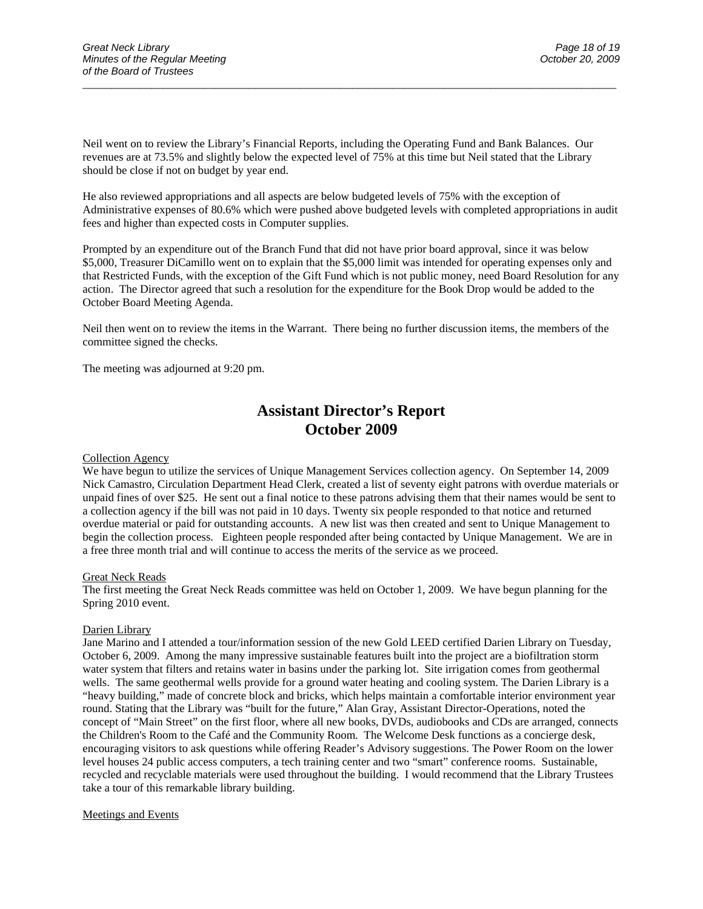Neil went on to review the Library's Financial Reports, including the Operating Fund and Bank Balances. Our revenues are at 73.5% and slightly below the expected level of 75% at this time but Neil stated that the Library should be close if not on budget by year end.

He also reviewed appropriations and all aspects are below budgeted levels of 75% with the exception of Administrative expenses of 80.6% which were pushed above budgeted levels with completed appropriations in audit fees and higher than expected costs in Computer supplies.

 $\overline{a}$  , and the contribution of the contribution of the contribution of the contribution of the contribution of  $\overline{a}$ 

Prompted by an expenditure out of the Branch Fund that did not have prior board approval, since it was below \$5,000, Treasurer DiCamillo went on to explain that the \$5,000 limit was intended for operating expenses only and that Restricted Funds, with the exception of the Gift Fund which is not public money, need Board Resolution for any action. The Director agreed that such a resolution for the expenditure for the Book Drop would be added to the October Board Meeting Agenda.

Neil then went on to review the items in the Warrant. There being no further discussion items, the members of the committee signed the checks.

The meeting was adjourned at 9:20 pm.

## **Assistant Director's Report October 2009**

#### Collection Agency

We have begun to utilize the services of Unique Management Services collection agency. On September 14, 2009 Nick Camastro, Circulation Department Head Clerk, created a list of seventy eight patrons with overdue materials or unpaid fines of over \$25. He sent out a final notice to these patrons advising them that their names would be sent to a collection agency if the bill was not paid in 10 days. Twenty six people responded to that notice and returned overdue material or paid for outstanding accounts. A new list was then created and sent to Unique Management to begin the collection process. Eighteen people responded after being contacted by Unique Management. We are in a free three month trial and will continue to access the merits of the service as we proceed.

#### Great Neck Reads

The first meeting the Great Neck Reads committee was held on October 1, 2009. We have begun planning for the Spring 2010 event.

#### Darien Library

Jane Marino and I attended a tour/information session of the new Gold LEED certified Darien Library on Tuesday, October 6, 2009. Among the many impressive sustainable features built into the project are a biofiltration storm water system that filters and retains water in basins under the parking lot. Site irrigation comes from geothermal wells. The same geothermal wells provide for a ground water heating and cooling system. The Darien Library is a "heavy building," made of concrete block and bricks, which helps maintain a comfortable interior environment year round. Stating that the Library was "built for the future," Alan Gray, Assistant Director-Operations, noted the concept of "Main Street" on the first floor, where all new books, DVDs, audiobooks and CDs are arranged, connects the Children's Room to the Café and the Community Room. The Welcome Desk functions as a concierge desk, encouraging visitors to ask questions while offering Reader's Advisory suggestions. The Power Room on the lower level houses 24 public access computers, a tech training center and two "smart" conference rooms. Sustainable, recycled and recyclable materials were used throughout the building. I would recommend that the Library Trustees take a tour of this remarkable library building.

#### Meetings and Events